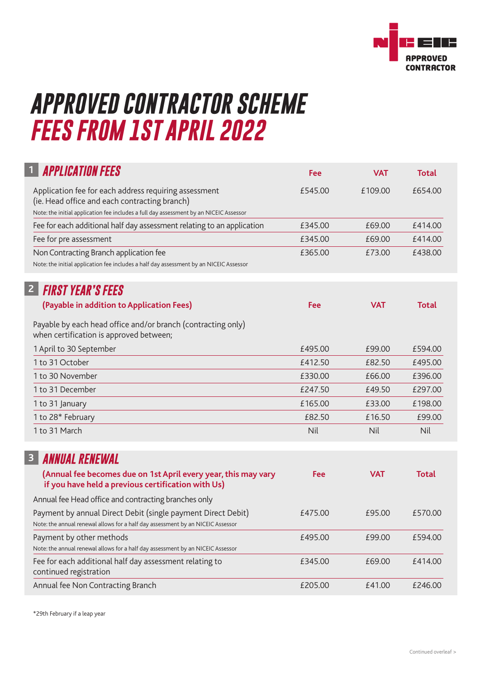

## *APPROVED CONTRACTOR SCHEME FEES FROM 1ST APRIL 2022*

| <b>APPLICATION FEES</b>                                                                                                                                                                          | Fee     | <b>VAT</b> | <b>Total</b> |
|--------------------------------------------------------------------------------------------------------------------------------------------------------------------------------------------------|---------|------------|--------------|
| Application fee for each address requiring assessment<br>(ie. Head office and each contracting branch)<br>Note: the initial application fee includes a full day assessment by an NICEIC Assessor | £545.00 | £109.00    | £654.00      |
| Fee for each additional half day assessment relating to an application                                                                                                                           | £345.00 | £69.00     | £414.00      |
| Fee for pre assessment                                                                                                                                                                           | £345.00 | £69.00     | £414.00      |
| Non Contracting Branch application fee<br>Note: the initial application fee includes a half day assessment by an NICEIC Assessor                                                                 | £365.00 | £73.00     | £438.00      |
| $\overline{2}$<br><b>FIRST YEAR'S FEES</b>                                                                                                                                                       |         |            |              |
| (Payable in addition to Application Fees)                                                                                                                                                        | Fee     | <b>VAT</b> | <b>Total</b> |
| Payable by each head office and/or branch (contracting only)<br>when certification is approved between;                                                                                          |         |            |              |
| 1 April to 30 September                                                                                                                                                                          | £495.00 | £99.00     | £594.00      |
| 1 to 31 October                                                                                                                                                                                  | £412.50 | £82.50     | £495.00      |
| 1 to 30 November                                                                                                                                                                                 | £330.00 | £66.00     | £396.00      |
| 1 to 31 December                                                                                                                                                                                 | £247.50 | £49.50     | £297.00      |
| 1 to 31 January                                                                                                                                                                                  | £165.00 | £33.00     | £198.00      |
| 1 to 28* February                                                                                                                                                                                | £82.50  | £16.50     | £99.00       |
| 1 to 31 March                                                                                                                                                                                    | Nil     | Nil        | Nil          |
| 3<br><b>ANNUAL RENEWAL</b>                                                                                                                                                                       |         |            |              |
| (Annual fee becomes due on 1st April every year, this may vary<br>if you have held a previous certification with Us)                                                                             | Fee     | <b>VAT</b> | <b>Total</b> |
| Annual fee Head office and contracting branches only                                                                                                                                             |         |            |              |
| Payment by annual Direct Debit (single payment Direct Debit)<br>Note: the annual renewal allows for a half day assessment by an NICEIC Assessor                                                  | £475.00 | £95.00     | £570.00      |
| Payment by other methods<br>Note: the annual renewal allows for a half day assessment by an NICEIC Assessor                                                                                      | £495.00 | £99.00     | £594.00      |
| Fee for each additional half day assessment relating to<br>continued registration                                                                                                                | £345.00 | £69.00     | £414.00      |
| Annual fee Non Contracting Branch                                                                                                                                                                | £205.00 | £41.00     | £246.00      |